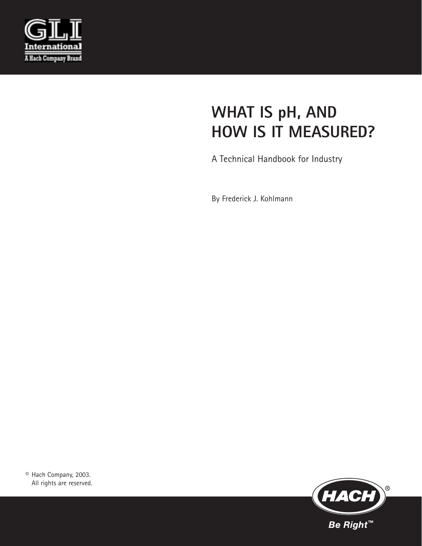

# **WHAT IS pH, AND HOW IS IT MEASURED?**

A Technical Handbook for Industry

By Frederick J. Kohlmann

© Hach Company, 2003. All rights are reserved.

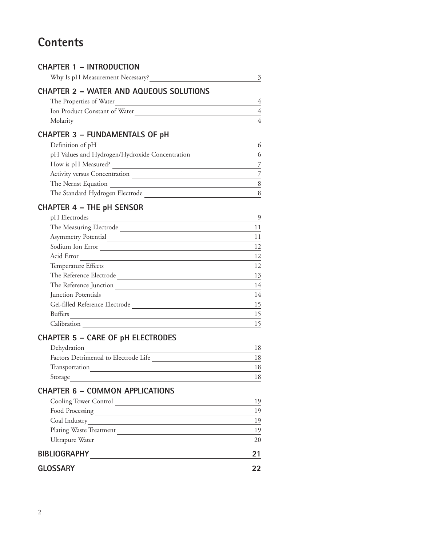### **Contents**

| <b>CHAPTER 1 - INTRODUCTION</b>                                                                                                   |                |
|-----------------------------------------------------------------------------------------------------------------------------------|----------------|
| Why Is pH Measurement Necessary?                                                                                                  | 3              |
| <b>CHAPTER 2 - WATER AND AQUEOUS SOLUTIONS</b>                                                                                    |                |
| The Properties of Water                                                                                                           | 4              |
| Ion Product Constant of Water                                                                                                     | 4              |
| Molarity<br><u>and the state of the state of the state of the state of the state of the state of the state of the state of th</u> | 4              |
| CHAPTER 3 - FUNDAMENTALS OF pH                                                                                                    |                |
| Definition of pH                                                                                                                  | 6              |
| pH Values and Hydrogen/Hydroxide Concentration                                                                                    | 6              |
| How is pH Measured?                                                                                                               | $\overline{7}$ |
|                                                                                                                                   | $\overline{7}$ |
|                                                                                                                                   | 8              |
|                                                                                                                                   | 8              |
| <b>CHAPTER 4 - THE pH SENSOR</b>                                                                                                  |                |
|                                                                                                                                   | $\overline{9}$ |
| The Measuring Electrode                                                                                                           | 11             |
| Asymmetry Potential                                                                                                               | 11             |
| Sodium Ion Error                                                                                                                  | 12             |
| Acid Error                                                                                                                        | 12             |
| Temperature Effects                                                                                                               | 12             |
| The Reference Electrode                                                                                                           | 13             |
| The Reference Junction                                                                                                            | 14             |
| Junction Potentials                                                                                                               | 14             |
| Gel-filled Reference Electrode                                                                                                    | 15             |
| Buffers and the contract of the contract of the contract of the contract of the contract of the contract of the                   | 15             |
|                                                                                                                                   | 15             |
| <b>CHAPTER 5 - CARE OF pH ELECTRODES</b>                                                                                          |                |
| Dehydration                                                                                                                       | 18             |
| Factors Detrimental to Electrode Life                                                                                             | 18             |
| Transportation                                                                                                                    | 18             |
| Storage                                                                                                                           | 18             |
| <b>CHAPTER 6 - COMMON APPLICATIONS</b>                                                                                            |                |
|                                                                                                                                   | 19             |
|                                                                                                                                   | 19             |
|                                                                                                                                   | 19             |
| Plating Waste Treatment                                                                                                           | 19             |
| Ultrapure Water                                                                                                                   | 20             |
| BIBLIOGRAPHY NAMES AND RESERVE TO A RESERVE THE RESERVE TO A REPORT OF THE RESERVE THE RESERVE TO A REPORT OF T                   | 21             |
| <b>GLOSSARY</b>                                                                                                                   | 22             |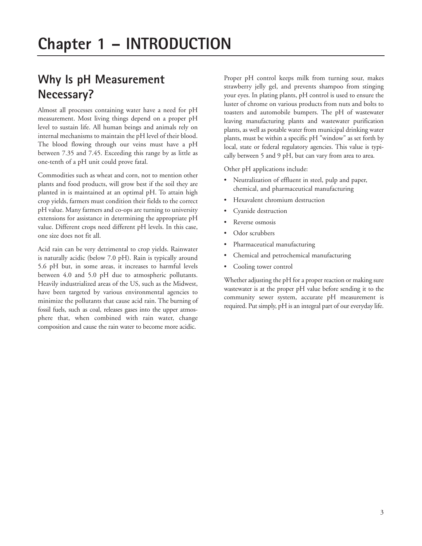### **Why Is pH Measurement Necessary?**

Almost all processes containing water have a need for pH measurement. Most living things depend on a proper pH level to sustain life. All human beings and animals rely on internal mechanisms to maintain the pH level of their blood. The blood flowing through our veins must have a pH between 7.35 and 7.45. Exceeding this range by as little as one-tenth of a pH unit could prove fatal.

Commodities such as wheat and corn, not to mention other plants and food products, will grow best if the soil they are planted in is maintained at an optimal pH. To attain high crop yields, farmers must condition their fields to the correct pH value. Many farmers and co-ops are turning to university extensions for assistance in determining the appropriate pH value. Different crops need different pH levels. In this case, one size does not fit all.

Acid rain can be very detrimental to crop yields. Rainwater is naturally acidic (below 7.0 pH). Rain is typically around 5.6 pH but, in some areas, it increases to harmful levels between 4.0 and 5.0 pH due to atmospheric pollutants. Heavily industrialized areas of the US, such as the Midwest, have been targeted by various environmental agencies to minimize the pollutants that cause acid rain. The burning of fossil fuels, such as coal, releases gases into the upper atmosphere that, when combined with rain water, change composition and cause the rain water to become more acidic.

Proper pH control keeps milk from turning sour, makes strawberry jelly gel, and prevents shampoo from stinging your eyes. In plating plants, pH control is used to ensure the luster of chrome on various products from nuts and bolts to toasters and automobile bumpers. The pH of wastewater leaving manufacturing plants and wastewater purification plants, as well as potable water from municipal drinking water plants, must be within a specific pH "window" as set forth by local, state or federal regulatory agencies. This value is typically between 5 and 9 pH, but can vary from area to area.

Other pH applications include:

- Neutralization of effluent in steel, pulp and paper, chemical, and pharmaceutical manufacturing
- Hexavalent chromium destruction
- Cyanide destruction
- Reverse osmosis
- Odor scrubbers
- Pharmaceutical manufacturing
- Chemical and petrochemical manufacturing
- Cooling tower control

Whether adjusting the pH for a proper reaction or making sure wastewater is at the proper pH value before sending it to the community sewer system, accurate pH measurement is required. Put simply, pH is an integral part of our everyday life.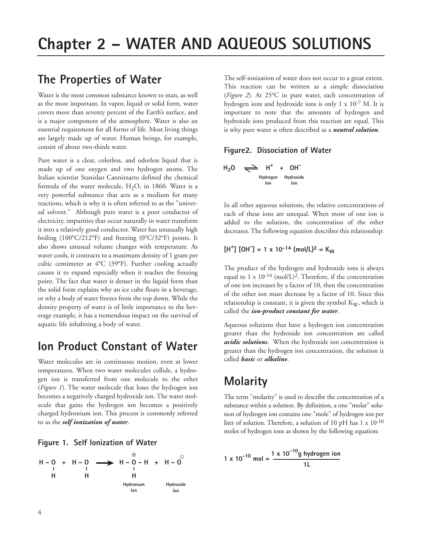#### **The Properties of Water**

Water is the most common substance known to man, as well as the most important. In vapor, liquid or solid form, water covers more than seventy percent of the Earth's surface, and is a major component of the atmosphere. Water is also an essential requirement for all forms of life. Most living things are largely made up of water. Human beings, for example, consist of about two-thirds water.

Pure water is a clear, colorless, and odorless liquid that is made up of one oxygen and two hydrogen atoms. The Italian scientist Stanislao Cannizzarro defined the chemical formula of the water molecule,  $H_2O$ , in 1860. Water is a very powerful substance that acts as a medium for many reactions, which is why it is often referred to as the "universal solvent." Although pure water is a poor conductor of electricity, impurities that occur naturally in water transform it into a relatively good conductor. Water has unusually high boiling (100°C/212°F) and freezing (0°C/32°F) points. It also shows unusual volume changes with temperature. As water cools, it contracts to a maximum density of 1 gram per cubic centimeter at 4°C (39°F). Further cooling actually causes it to expand especially when it reaches the freezing point. The fact that water is denser in the liquid form than the solid form explains why an ice cube floats in a beverage, or why a body of water freezes from the top down. While the density property of water is of little importance to the beverage example, it has a tremendous impact on the survival of aquatic life inhabiting a body of water.

### **Ion Product Constant of Water**

Water molecules are in continuous motion, even at lower temperatures. When two water molecules collide, a hydrogen ion is transferred from one molecule to the other (*Figure 1*). The water molecule that loses the hydrogen ion becomes a negatively charged hydroxide ion. The water molecule that gains the hydrogen ion becomes a positively charged hydronium ion. This process is commonly referred to as the *self ionization of water*.

#### **Figure 1. Self Ionization of Water**



The self-ionization of water does not occur to a great extent. This reaction can be written as a simple dissociation (*Figure 2*). At 25°C in pure water, each concentration of hydrogen ions and hydroxide ions is only 1 x 10<sup>-7</sup> M. It is important to note that the amounts of hydrogen and hydroxide ions produced from this reaction are equal. This is why pure water is often described as a *neutral solution*.

#### **Figure2. Dissociation of Water**

$$
\begin{array}{ccc}\nH_2O & \rightleftharpoons & H^+ & + OH^- \\
\hline\n\text{Hydroxide} & & \text{Hydroxide} \\
\text{lon} & & \text{lon}\n\end{array}
$$

In all other aqueous solutions, the relative concentrations of each of these ions are unequal. When more of one ion is added to the solution, the concentration of the other decreases. The following equation describes this relationship:

#### $[H^+]$  [OH<sup>-</sup>] = 1 x 10<sup>-14</sup> (mol/L)<sup>2</sup> = K<sub>W</sub>

The product of the hydrogen and hydroxide ions is always equal to 1 x  $10^{-14}$  (mol/L)<sup>2</sup>. Therefore, if the concentration of one ion increases by a factor of 10, then the concentration of the other ion must decrease by a factor of 10. Since this relationship is constant, it is given the symbol  $K_W$ , which is called the *ion-product constant for water*.

Aqueous solutions that have a hydrogen ion concentration greater than the hydroxide ion concentration are called *acidic solutions*. When the hydroxide ion concentration is greater than the hydrogen ion concentration, the solution is called *basic* or *alkaline*.

### **Molarity**

The term "molarity" is used to describe the concentration of a substance within a solution. By definition, a one "molar" solution of hydrogen ion contains one "mole" of hydrogen ion per liter of solution. Therefore, a solution of 10 pH has 1 x 10-10 moles of hydrogen ions as shown by the following equation:

1 x 10<sup>-10</sup> mol = 
$$
\frac{1 \times 10^{-10} \text{g hydrogen ion}}{1 \text{L}}
$$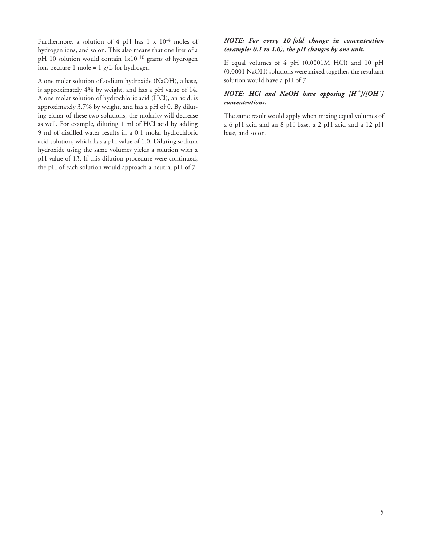Furthermore, a solution of 4 pH has 1 x 10-4 moles of hydrogen ions, and so on. This also means that one liter of a pH 10 solution would contain 1x10-10 grams of hydrogen ion, because 1 mole = 1 g/L for hydrogen.

A one molar solution of sodium hydroxide (NaOH), a base, is approximately 4% by weight, and has a pH value of 14. A one molar solution of hydrochloric acid (HCl), an acid, is approximately 3.7% by weight, and has a pH of 0. By diluting either of these two solutions, the molarity will decrease as well. For example, diluting 1 ml of HCl acid by adding 9 ml of distilled water results in a 0.1 molar hydrochloric acid solution, which has a pH value of 1.0. Diluting sodium hydroxide using the same volumes yields a solution with a pH value of 13. If this dilution procedure were continued, the pH of each solution would approach a neutral pH of 7.

#### *NOTE: For every 10-fold change in concentration (example: 0.1 to 1.0), the pH changes by one unit.*

If equal volumes of 4 pH (0.0001M HCl) and 10 pH (0.0001 NaOH) solutions were mixed together, the resultant solution would have a pH of 7.

#### *NOTE: HCl and NaOH have opposing [H <sup>+</sup> ]/[OH - ] concentrations.*

The same result would apply when mixing equal volumes of a 6 pH acid and an 8 pH base, a 2 pH acid and a 12 pH base, and so on.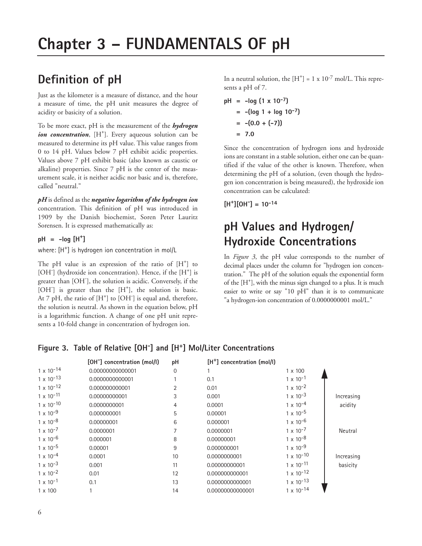### **Definition of pH**

Just as the kilometer is a measure of distance, and the hour a measure of time, the pH unit measures the degree of acidity or basicity of a solution.

To be more exact, pH is the measurement of the *hydrogen* ion concentration, [H<sup>+</sup>]. Every aqueous solution can be measured to determine its pH value. This value ranges from 0 to 14 pH. Values below 7 pH exhibit acidic properties. Values above 7 pH exhibit basic (also known as caustic or alkaline) properties. Since 7 pH is the center of the measurement scale, it is neither acidic nor basic and is, therefore, called "neutral."

*pH* is defined as the *negative logarithm of the hydrogen ion* concentration. This definition of pH was introduced in 1909 by the Danish biochemist, Soren Peter Lauritz Sorensen. It is expressed mathematically as:

#### $pH = -log [H^+]$

where:  $[H^+]$  is hydrogen ion concentration in mol/L

The pH value is an expression of the ratio of  $[H^+]$  to [OH<sup>-</sup>] (hydroxide ion concentration). Hence, if the [H<sup>+</sup>] is greater than [OH- ], the solution is acidic. Conversely, if the [OH<sup>-</sup>] is greater than the [H<sup>+</sup>], the solution is basic. At 7 pH, the ratio of  $[H^+]$  to  $[OH^-]$  is equal and, therefore, the solution is neutral. As shown in the equation below, pH is a logarithmic function. A change of one pH unit represents a 10-fold change in concentration of hydrogen ion.

In a neutral solution, the  $[H^+] = 1 \times 10^{-7}$  mol/L. This represents a pH of 7.

$$
pH = -\log (1 \times 10^{-7})
$$
  
= -(log 1 + log 10<sup>-7</sup>)  
= -(0.0 + (-7))  
= 7.0

Since the concentration of hydrogen ions and hydroxide ions are constant in a stable solution, either one can be quantified if the value of the other is known. Therefore, when determining the pH of a solution, (even though the hydrogen ion concentration is being measured), the hydroxide ion concentration can be calculated:

 $[H^+]$ [OH<sup>-</sup>] = 10<sup>-14</sup>

### **pH Values and Hydrogen/ Hydroxide Concentrations**

In *Figure 3*, the pH value corresponds to the number of decimal places under the column for "hydrogen ion concentration." The pH of the solution equals the exponential form of the [H+ ], with the minus sign changed to a plus. It is much easier to write or say "10 pH" than it is to communicate "a hydrogen-ion concentration of 0.0000000001 mol/L."

#### **Figure 3. Table of Relative [OH- ] and [H+] Mol/Liter Concentrations**

|                     | [OH <sup>-</sup> ] concentration (mol/l) | pH             | $[H^+]$ concentration (mol/l) |                     |            |
|---------------------|------------------------------------------|----------------|-------------------------------|---------------------|------------|
| $1 \times 10^{-14}$ | 0.00000000000001                         | $\mathbf 0$    |                               | $1 \times 100$      |            |
| $1 \times 10^{-13}$ | 0.0000000000001                          |                | 0.1                           | $1 \times 10^{-1}$  |            |
| $1 \times 10^{-12}$ | 0.000000000001                           | $\overline{2}$ | 0.01                          | $1 \times 10^{-2}$  |            |
| $1 \times 10^{-11}$ | 0.00000000001                            | 3              | 0.001                         | $1 \times 10^{-3}$  | Increasing |
| $1 \times 10^{-10}$ | 0.0000000001                             | 4              | 0.0001                        | $1 \times 10^{-4}$  | acidity    |
| $1 \times 10^{-9}$  | 0.000000001                              | 5              | 0.00001                       | $1 \times 10^{-5}$  |            |
| $1 \times 10^{-8}$  | 0.00000001                               | 6              | 0.000001                      | $1 \times 10^{-6}$  |            |
| $1 \times 10^{-7}$  | 0.0000001                                | 7              | 0.0000001                     | $1 \times 10^{-7}$  | Neutral    |
| $1 \times 10^{-6}$  | 0.000001                                 | 8              | 0.00000001                    | $1 \times 10^{-8}$  |            |
| $1 \times 10^{-5}$  | 0.00001                                  | 9              | 0.000000001                   | $1 \times 10^{-9}$  |            |
| $1 \times 10^{-4}$  | 0.0001                                   | 10             | 0.0000000001                  | $1 \times 10^{-10}$ | Increasing |
| $1 \times 10^{-3}$  | 0.001                                    | 11             | 0.00000000001                 | $1 \times 10^{-11}$ | basicity   |
| $1 \times 10^{-2}$  | 0.01                                     | 12             | 0.000000000001                | $1 \times 10^{-12}$ |            |
| $1 \times 10^{-1}$  | 0.1                                      | 13             | 0.0000000000001               | $1 \times 10^{-13}$ |            |
| $1 \times 100$      |                                          | 14             | 0.00000000000001              | $1 \times 10^{-14}$ |            |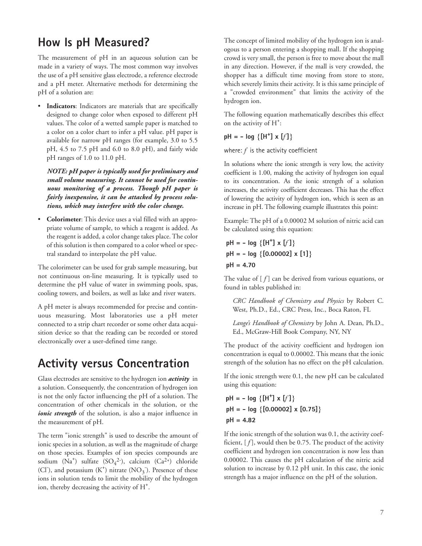#### **How Is pH Measured?**

The measurement of pH in an aqueous solution can be made in a variety of ways. The most common way involves the use of a pH sensitive glass electrode, a reference electrode and a pH meter. Alternative methods for determining the pH of a solution are:

• **Indicators**: Indicators are materials that are specifically designed to change color when exposed to different pH values. The color of a wetted sample paper is matched to a color on a color chart to infer a pH value. pH paper is available for narrow pH ranges (for example, 3.0 to 5.5 pH, 4.5 to 7.5 pH and 6.0 to 8.0 pH), and fairly wide pH ranges of 1.0 to 11.0 pH.

*NOTE: pH paper is typically used for preliminary and small volume measuring. It cannot be used for continuous monitoring of a process. Though pH paper is fairly inexpensive, it can be attacked by process solutions, which may interfere with the color change.*

• **Colorimeter**: This device uses a vial filled with an appropriate volume of sample, to which a reagent is added. As the reagent is added, a color change takes place. The color of this solution is then compared to a color wheel or spectral standard to interpolate the pH value.

The colorimeter can be used for grab sample measuring, but not continuous on-line measuring. It is typically used to determine the pH value of water in swimming pools, spas, cooling towers, and boilers, as well as lake and river waters.

A pH meter is always recommended for precise and continuous measuring. Most laboratories use a pH meter connected to a strip chart recorder or some other data acquisition device so that the reading can be recorded or stored electronically over a user-defined time range.

#### **Activity versus Concentration**

Glass electrodes are sensitive to the hydrogen ion *activity* in a solution. Consequently, the concentration of hydrogen ion is not the only factor influencing the pH of a solution. The concentration of other chemicals in the solution, or the *ionic strength* of the solution, is also a major influence in the measurement of pH.

The term "ionic strength" is used to describe the amount of ionic species in a solution, as well as the magnitude of charge on those species. Examples of ion species compounds are sodium  $(Na^+)$  sulfate  $(SO_4^2)$ , calcium  $(Ca^2+)$  chloride (Cl<sup>-</sup>), and potassium  $(K^+)$  nitrate  $(NO_3^-)$ . Presence of these ions in solution tends to limit the mobility of the hydrogen ion, thereby decreasing the activity of H<sup>+</sup>.

The concept of limited mobility of the hydrogen ion is analogous to a person entering a shopping mall. If the shopping crowd is very small, the person is free to move about the mall in any direction. However, if the mall is very crowded, the shopper has a difficult time moving from store to store, which severely limits their activity. It is this same principle of a "crowded environment" that limits the activity of the hydrogen ion.

The following equation mathematically describes this effect on the activity of  $H^*$ :

#### $pH = -\log \{ [H^+] \times [f] \}$

where: *f* is the activity coefficient

In solutions where the ionic strength is very low, the activity coefficient is 1.00, making the activity of hydrogen ion equal to its concentration. As the ionic strength of a solution increases, the activity coefficient decreases. This has the effect of lowering the activity of hydrogen ion, which is seen as an increase in pH. The following example illustrates this point:

Example: The pH of a 0.00002 M solution of nitric acid can be calculated using this equation:

$$
pH = - log { [H+] x [f]}pH = - log { [0.00002] x [1]}pH = 4.70
$$

The value of [ *f* ] can be derived from various equations, or found in tables published in:

*CRC Handbook of Chemistry and Physics* by Robert C. West, Ph.D., Ed., CRC Press, Inc., Boca Raton, FL

*Lange's Handbook of Chemistry* by John A. Dean, Ph.D., Ed., McGraw-Hill Book Company, NY, NY

The product of the activity coefficient and hydrogen ion concentration is equal to 0.00002. This means that the ionic strength of the solution has no effect on the pH calculation.

If the ionic strength were 0.1, the new pH can be calculated using this equation:

 $pH = - \log \{ [H^+] \times [f] \}$ **pH = - log {[0.00002] x [0.75]} pH = 4.82**

If the ionic strength of the solution was 0.1, the activity coefficient, [ *f* ], would then be 0.75. The product of the activity coefficient and hydrogen ion concentration is now less than 0.00002. This causes the pH calculation of the nitric acid solution to increase by 0.12 pH unit. In this case, the ionic strength has a major influence on the pH of the solution.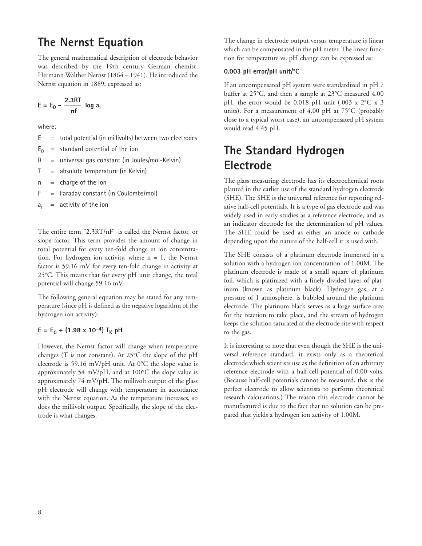#### **The Nernst Equation**

The general mathematical description of electrode behavior was described by the 19th century German chemist, Hermann Walther Nernst (1864 – 1941). He introduced the Nernst equation in 1889, expressed as:

$$
E = E_0 - \frac{2.3RT}{nf} \log a_i
$$

where:

- $E =$  total potential (in millivolts) between two electrodes
- $E_0$  = standard potential of the ion
- $R =$  universal gas constant (in Joules/mol-Kelvin)
- $T =$  absolute temperature (in Kelvin)
- n = charge of the ion
- F = Faraday constant (in Coulombs/mol)
- $a_i$  = activity of the ion

The entire term "2.3RT/nF" is called the Nernst factor, or slope factor. This term provides the amount of change in total potential for every ten-fold change in ion concentration. For hydrogen ion activity, where n = 1, the Nernst factor is 59.16 mV for every ten-fold change in activity at 25°C. This means that for every pH unit change, the total potential will change 59.16 mV.

The following general equation may be stated for any temperature (since pH is defined as the negative logarithm of the hydrogen ion activity):

#### $E = E_0 + (1.98 \times 10^{-4})$  T<sub>K</sub> pH

However, the Nernst factor will change when temperature changes (T is not constant). At 25°C the slope of the pH electrode is 59.16 mV/pH unit. At 0°C the slope value is approximately 54 mV/pH, and at 100°C the slope value is approximately 74 mV/pH. The millivolt output of the glass pH electrode will change with temperature in accordance with the Nernst equation. As the temperature increases, so does the millivolt output. Specifically, the slope of the electrode is what changes.

The change in electrode output versus temperature is linear which can be compensated in the pH meter. The linear function for temperature vs. pH change can be expressed as:

#### **0.003 pH error/pH unit/°C**

If an uncompensated pH system were standardized in pH 7 buffer at 25°C, and then a sample at 23°C measured 4.00 pH, the error would be 0.018 pH unit (.003 x 2°C x 3 units). For a measurement of 4.00 pH at 75°C (probably close to a typical worst case), an uncompensated pH system would read 4.45 pH.

### **The Standard Hydrogen Electrode**

The glass measuring electrode has its electrochemical roots planted in the earlier use of the standard hydrogen electrode (SHE). The SHE is the universal reference for reporting relative half-cell potentials. It is a type of gas electrode and was widely used in early studies as a reference electrode, and as an indicator electrode for the determination of pH values. The SHE could be used as either an anode or cathode depending upon the nature of the half-cell it is used with.

The SHE consists of a platinum electrode immersed in a solution with a hydrogen ion concentration of 1.00M. The platinum electrode is made of a small square of platinum foil, which is platinized with a finely divided layer of platinum (known as platinum black). Hydrogen gas, at a pressure of 1 atmosphere, is bubbled around the platinum electrode. The platinum black serves as a large surface area for the reaction to take place, and the stream of hydrogen keeps the solution saturated at the electrode site with respect to the gas.

It is interesting to note that even though the SHE is the universal reference standard, it exists only as a theoretical electrode which scientists use as the definition of an arbitrary reference electrode with a half-cell potential of 0.00 volts. (Because half-cell potentials cannot be measured, this is the perfect electrode to allow scientists to perform theoretical research calculations.) The reason this electrode cannot be manufactured is due to the fact that no solution can be prepared that yields a hydrogen ion activity of 1.00M.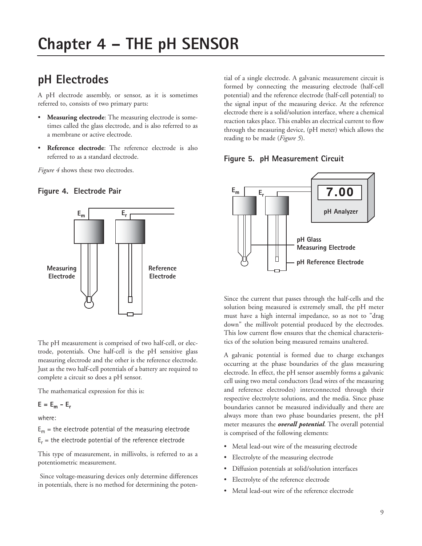### **pH Electrodes**

A pH electrode assembly, or sensor, as it is sometimes referred to, consists of two primary parts:

- **Measuring electrode**: The measuring electrode is sometimes called the glass electrode, and is also referred to as a membrane or active electrode.
- **Reference electrode**: The reference electrode is also referred to as a standard electrode.

*Figure 4* shows these two electrodes.

#### **Figure 4. Electrode Pair**



The pH measurement is comprised of two half-cell, or electrode, potentials. One half-cell is the pH sensitive glass measuring electrode and the other is the reference electrode. Just as the two half-cell potentials of a battery are required to complete a circuit so does a pH sensor.

The mathematical expression for this is:

$$
E = E_m - E_r
$$

where:

 $E_m$  = the electrode potential of the measuring electrode

 $E_r$  = the electrode potential of the reference electrode

This type of measurement, in millivolts, is referred to as a potentiometric measurement.

Since voltage-measuring devices only determine differences in potentials, there is no method for determining the potential of a single electrode. A galvanic measurement circuit is formed by connecting the measuring electrode (half-cell potential) and the reference electrode (half-cell potential) to the signal input of the measuring device. At the reference electrode there is a solid/solution interface, where a chemical reaction takes place. This enables an electrical current to flow through the measuring device, (pH meter) which allows the reading to be made (*Figure 5*).



**Figure 5. pH Measurement Circuit**

Since the current that passes through the half-cells and the solution being measured is extremely small, the pH meter must have a high internal impedance, so as not to "drag down" the millivolt potential produced by the electrodes. This low current flow ensures that the chemical characteristics of the solution being measured remains unaltered.

A galvanic potential is formed due to charge exchanges occurring at the phase boundaries of the glass measuring electrode. In effect, the pH sensor assembly forms a galvanic cell using two metal conductors (lead wires of the measuring and reference electrodes) interconnected through their respective electrolyte solutions, and the media. Since phase boundaries cannot be measured individually and there are always more than two phase boundaries present, the pH meter measures the *overall potential*. The overall potential is comprised of the following elements:

- Metal lead-out wire of the measuring electrode
- Electrolyte of the measuring electrode
- Diffusion potentials at solid/solution interfaces
- Electrolyte of the reference electrode
- Metal lead-out wire of the reference electrode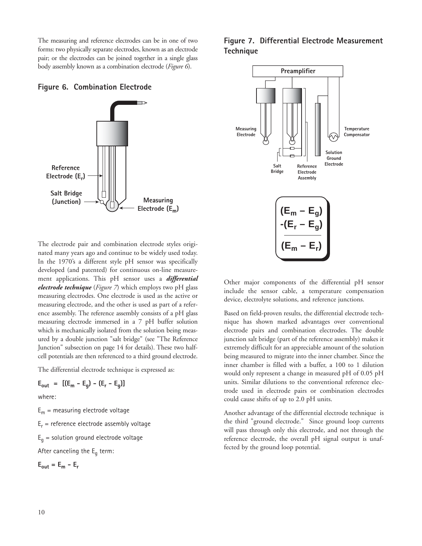The measuring and reference electrodes can be in one of two forms: two physically separate electrodes, known as an electrode pair; or the electrodes can be joined together in a single glass body assembly known as a combination electrode (*Figure 6*).

#### **Figure 6. Combination Electrode**



The electrode pair and combination electrode styles originated many years ago and continue to be widely used today. In the 1970's a different style pH sensor was specifically developed (and patented) for continuous on-line measurement applications. This pH sensor uses a *differential electrode technique* (*Figure 7*) which employs two pH glass measuring electrodes. One electrode is used as the active or measuring electrode, and the other is used as part of a reference assembly. The reference assembly consists of a pH glass measuring electrode immersed in a 7 pH buffer solution which is mechanically isolated from the solution being measured by a double junction "salt bridge" (see "The Reference Junction" subsection on page 14 for details). These two halfcell potentials are then referenced to a third ground electrode.

The differential electrode technique is expressed as:

$$
E_{\text{out}} = [(E_m - E_g) - (E_r - E_g)]
$$

where:

 $E_m$  = measuring electrode voltage

 $E_r$  = reference electrode assembly voltage

 $E_q$  = solution ground electrode voltage

After canceling the  $E_a$  term:

 $E_{\text{out}} = E_m - E_r$ 

#### **Figure 7. Differential Electrode Measurement Technique**



Other major components of the differential pH sensor include the sensor cable, a temperature compensation device, electrolyte solutions, and reference junctions.

Based on field-proven results, the differential electrode technique has shown marked advantages over conventional electrode pairs and combination electrodes. The double junction salt bridge (part of the reference assembly) makes it extremely difficult for an appreciable amount of the solution being measured to migrate into the inner chamber. Since the inner chamber is filled with a buffer, a 100 to 1 dilution would only represent a change in measured pH of 0.05 pH units. Similar dilutions to the conventional reference electrode used in electrode pairs or combination electrodes could cause shifts of up to 2.0 pH units.

Another advantage of the differential electrode technique is the third "ground electrode." Since ground loop currents will pass through only this electrode, and not through the reference electrode, the overall pH signal output is unaffected by the ground loop potential.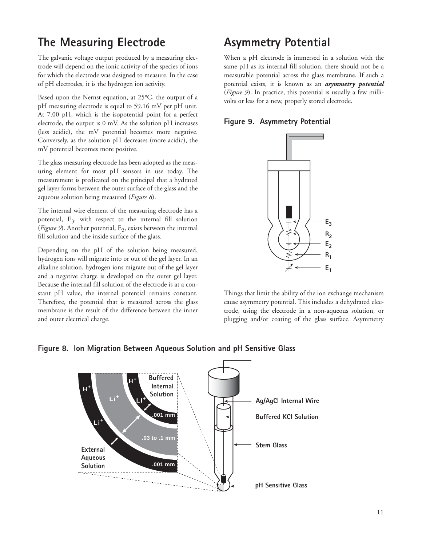### **The Measuring Electrode**

The galvanic voltage output produced by a measuring electrode will depend on the ionic activity of the species of ions for which the electrode was designed to measure. In the case of pH electrodes, it is the hydrogen ion activity.

Based upon the Nernst equation, at 25°C, the output of a pH measuring electrode is equal to 59.16 mV per pH unit. At 7.00 pH, which is the isopotential point for a perfect electrode, the output is 0 mV. As the solution pH increases (less acidic), the mV potential becomes more negative. Conversely, as the solution pH decreases (more acidic), the mV potential becomes more positive.

The glass measuring electrode has been adopted as the measuring element for most pH sensors in use today. The measurement is predicated on the principal that a hydrated gel layer forms between the outer surface of the glass and the aqueous solution being measured (*Figure 8*).

The internal wire element of the measuring electrode has a potential,  $E_3$ , with respect to the internal fill solution (*Figure 9*). Another potential,  $E_2$ , exists between the internal fill solution and the inside surface of the glass.

Depending on the pH of the solution being measured, hydrogen ions will migrate into or out of the gel layer. In an alkaline solution, hydrogen ions migrate out of the gel layer and a negative charge is developed on the outer gel layer. Because the internal fill solution of the electrode is at a constant pH value, the internal potential remains constant. Therefore, the potential that is measured across the glass membrane is the result of the difference between the inner and outer electrical charge.

### **Asymmetry Potential**

When a pH electrode is immersed in a solution with the same pH as its internal fill solution, there should not be a measurable potential across the glass membrane. If such a potential exists, it is known as an *asymmetry potential*  (*Figure 9*). In practice, this potential is usually a few millivolts or less for a new, properly stored electrode.





Things that limit the ability of the ion exchange mechanism cause asymmetry potential. This includes a dehydrated electrode, using the electrode in a non-aqueous solution, or plugging and/or coating of the glass surface. Asymmetry



#### **Figure 8. Ion Migration Between Aqueous Solution and pH Sensitive Glass**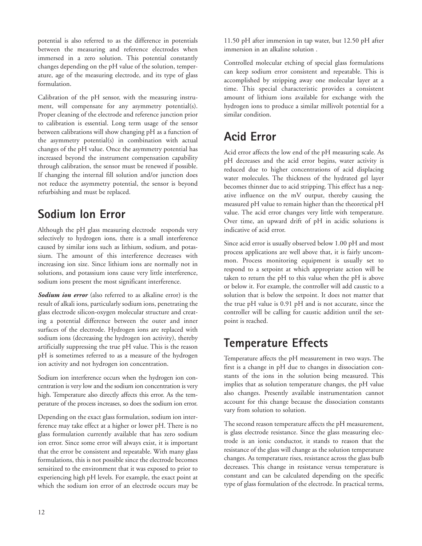potential is also referred to as the difference in potentials between the measuring and reference electrodes when immersed in a zero solution. This potential constantly changes depending on the pH value of the solution, temperature, age of the measuring electrode, and its type of glass formulation.

Calibration of the pH sensor, with the measuring instrument, will compensate for any asymmetry potential(s). Proper cleaning of the electrode and reference junction prior to calibration is essential. Long term usage of the sensor between calibrations will show changing pH as a function of the asymmetry potential(s) in combination with actual changes of the pH value. Once the asymmetry potential has increased beyond the instrument compensation capability through calibration, the sensor must be renewed if possible. If changing the internal fill solution and/or junction does not reduce the asymmetry potential, the sensor is beyond refurbishing and must be replaced.

### **Sodium Ion Error**

Although the pH glass measuring electrode responds very selectively to hydrogen ions, there is a small interference caused by similar ions such as lithium, sodium, and potassium. The amount of this interference decreases with increasing ion size. Since lithium ions are normally not in solutions, and potassium ions cause very little interference, sodium ions present the most significant interference.

*Sodium ion error* (also referred to as alkaline error) is the result of alkali ions, particularly sodium ions, penetrating the glass electrode silicon-oxygen molecular structure and creating a potential difference between the outer and inner surfaces of the electrode. Hydrogen ions are replaced with sodium ions (decreasing the hydrogen ion activity), thereby artificially suppressing the true pH value. This is the reason pH is sometimes referred to as a measure of the hydrogen ion activity and not hydrogen ion concentration.

Sodium ion interference occurs when the hydrogen ion concentration is very low and the sodium ion concentration is very high. Temperature also directly affects this error. As the temperature of the process increases, so does the sodium ion error.

Depending on the exact glass formulation, sodium ion interference may take effect at a higher or lower pH. There is no glass formulation currently available that has zero sodium ion error. Since some error will always exist, it is important that the error be consistent and repeatable. With many glass formulations, this is not possible since the electrode becomes sensitized to the environment that it was exposed to prior to experiencing high pH levels. For example, the exact point at which the sodium ion error of an electrode occurs may be

11.50 pH after immersion in tap water, but 12.50 pH after immersion in an alkaline solution .

Controlled molecular etching of special glass formulations can keep sodium error consistent and repeatable. This is accomplished by stripping away one molecular layer at a time. This special characteristic provides a consistent amount of lithium ions available for exchange with the hydrogen ions to produce a similar millivolt potential for a similar condition.

### **Acid Error**

Acid error affects the low end of the pH measuring scale. As pH decreases and the acid error begins, water activity is reduced due to higher concentrations of acid displacing water molecules. The thickness of the hydrated gel layer becomes thinner due to acid stripping. This effect has a negative influence on the mV output, thereby causing the measured pH value to remain higher than the theoretical pH value. The acid error changes very little with temperature. Over time, an upward drift of pH in acidic solutions is indicative of acid error.

Since acid error is usually observed below 1.00 pH and most process applications are well above that, it is fairly uncommon. Process monitoring equipment is usually set to respond to a setpoint at which appropriate action will be taken to return the pH to this value when the pH is above or below it. For example, the controller will add caustic to a solution that is below the setpoint. It does not matter that the true pH value is 0.91 pH and is not accurate, since the controller will be calling for caustic addition until the setpoint is reached.

### **Temperature Effects**

Temperature affects the pH measurement in two ways. The first is a change in pH due to changes in dissociation constants of the ions in the solution being measured. This implies that as solution temperature changes, the pH value also changes. Presently available instrumentation cannot account for this change because the dissociation constants vary from solution to solution.

The second reason temperature affects the pH measurement, is glass electrode resistance. Since the glass measuring electrode is an ionic conductor, it stands to reason that the resistance of the glass will change as the solution temperature changes. As temperature rises, resistance across the glass bulb decreases. This change in resistance versus temperature is constant and can be calculated depending on the specific type of glass formulation of the electrode. In practical terms,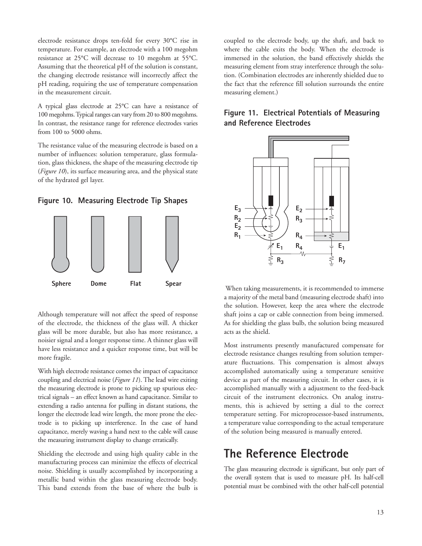electrode resistance drops ten-fold for every 30°C rise in temperature. For example, an electrode with a 100 megohm resistance at 25°C will decrease to 10 megohm at 55°C. Assuming that the theoretical pH of the solution is constant, the changing electrode resistance will incorrectly affect the pH reading, requiring the use of temperature compensation in the measurement circuit.

A typical glass electrode at 25°C can have a resistance of 100 megohms. Typical ranges can vary from 20 to 800 megohms. In contrast, the resistance range for reference electrodes varies from 100 to 5000 ohms.

The resistance value of the measuring electrode is based on a number of influences: solution temperature, glass formulation, glass thickness, the shape of the measuring electrode tip (*Figure 10*), its surface measuring area, and the physical state of the hydrated gel layer.





Although temperature will not affect the speed of response of the electrode, the thickness of the glass will. A thicker glass will be more durable, but also has more resistance, a noisier signal and a longer response time. A thinner glass will have less resistance and a quicker response time, but will be more fragile.

With high electrode resistance comes the impact of capacitance coupling and electrical noise (*Figure 11*). The lead wire exiting the measuring electrode is prone to picking up spurious electrical signals – an effect known as hand capacitance. Similar to extending a radio antenna for pulling in distant stations, the longer the electrode lead wire length, the more prone the electrode is to picking up interference. In the case of hand capacitance, merely waving a hand next to the cable will cause the measuring instrument display to change erratically.

Shielding the electrode and using high quality cable in the manufacturing process can minimize the effects of electrical noise. Shielding is usually accomplished by incorporating a metallic band within the glass measuring electrode body. This band extends from the base of where the bulb is

coupled to the electrode body, up the shaft, and back to where the cable exits the body. When the electrode is immersed in the solution, the band effectively shields the measuring element from stray interference through the solution. (Combination electrodes are inherently shielded due to the fact that the reference fill solution surrounds the entire measuring element.)

#### **Figure 11. Electrical Potentials of Measuring and Reference Electrodes**



When taking measurements, it is recommended to immerse a majority of the metal band (measuring electrode shaft) into the solution. However, keep the area where the electrode shaft joins a cap or cable connection from being immersed. As for shielding the glass bulb, the solution being measured acts as the shield.

Most instruments presently manufactured compensate for electrode resistance changes resulting from solution temperature fluctuations. This compensation is almost always accomplished automatically using a temperature sensitive device as part of the measuring circuit. In other cases, it is accomplished manually with a adjustment to the feed-back circuit of the instrument electronics. On analog instruments, this is achieved by setting a dial to the correct temperature setting. For microprocessor-based instruments, a temperature value corresponding to the actual temperature of the solution being measured is manually entered.

#### **The Reference Electrode**

The glass measuring electrode is significant, but only part of the overall system that is used to measure pH. Its half-cell potential must be combined with the other half-cell potential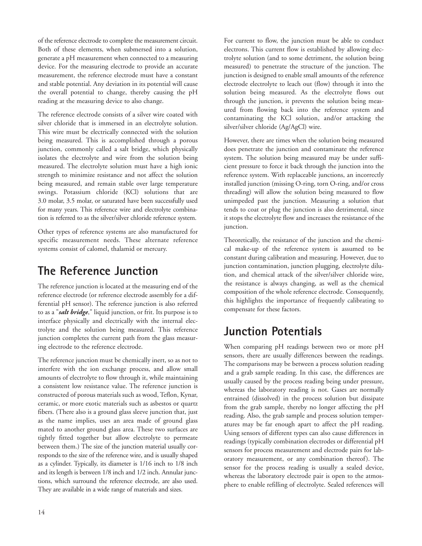of the reference electrode to complete the measurement circuit. Both of these elements, when submersed into a solution, generate a pH measurement when connected to a measuring device. For the measuring electrode to provide an accurate measurement, the reference electrode must have a constant and stable potential. Any deviation in its potential will cause the overall potential to change, thereby causing the pH reading at the measuring device to also change.

The reference electrode consists of a silver wire coated with silver chloride that is immersed in an electrolyte solution. This wire must be electrically connected with the solution being measured. This is accomplished through a porous junction, commonly called a salt bridge, which physically isolates the electrolyte and wire from the solution being measured. The electrolyte solution must have a high ionic strength to minimize resistance and not affect the solution being measured, and remain stable over large temperature swings. Potassium chloride (KCl) solutions that are 3.0 molar, 3.5 molar, or saturated have been successfully used for many years. This reference wire and electrolyte combination is referred to as the silver/silver chloride reference system.

Other types of reference systems are also manufactured for specific measurement needs. These alternate reference systems consist of calomel, thalamid or mercury.

### **The Reference Junction**

The reference junction is located at the measuring end of the reference electrode (or reference electrode assembly for a differential pH sensor). The reference junction is also referred to as a "*salt bridge*," liquid junction, or frit. Its purpose is to interface physically and electrically with the internal electrolyte and the solution being measured. This reference junction completes the current path from the glass measuring electrode to the reference electrode.

The reference junction must be chemically inert, so as not to interfere with the ion exchange process, and allow small amounts of electrolyte to flow through it, while maintaining a consistent low resistance value. The reference junction is constructed of porous materials such as wood, Teflon, Kynar, ceramic, or more exotic materials such as asbestos or quartz fibers. (There also is a ground glass sleeve junction that, just as the name implies, uses an area made of ground glass mated to another ground glass area. These two surfaces are tightly fitted together but allow electrolyte to permeate between them.) The size of the junction material usually corresponds to the size of the reference wire, and is usually shaped as a cylinder. Typically, its diameter is 1/16 inch to 1/8 inch and its length is between 1/8 inch and 1/2 inch. Annular junctions, which surround the reference electrode, are also used. They are available in a wide range of materials and sizes.

For current to flow, the junction must be able to conduct electrons. This current flow is established by allowing electrolyte solution (and to some detriment, the solution being measured) to penetrate the structure of the junction. The junction is designed to enable small amounts of the reference electrode electrolyte to leach out (flow) through it into the solution being measured. As the electrolyte flows out through the junction, it prevents the solution being measured from flowing back into the reference system and contaminating the KCl solution, and/or attacking the silver/silver chloride (Ag/AgCl) wire.

However, there are times when the solution being measured does penetrate the junction and contaminate the reference system. The solution being measured may be under sufficient pressure to force it back through the junction into the reference system. With replaceable junctions, an incorrectly installed junction (missing O-ring, torn O-ring, and/or cross threading) will allow the solution being measured to flow unimpeded past the junction. Measuring a solution that tends to coat or plug the junction is also detrimental, since it stops the electrolyte flow and increases the resistance of the junction.

Theoretically, the resistance of the junction and the chemical make-up of the reference system is assumed to be constant during calibration and measuring. However, due to junction contamination, junction plugging, electrolyte dilution, and chemical attack of the silver/silver chloride wire, the resistance is always changing, as well as the chemical composition of the whole reference electrode. Consequently, this highlights the importance of frequently calibrating to compensate for these factors.

### **Junction Potentials**

When comparing pH readings between two or more pH sensors, there are usually differences between the readings. The comparisons may be between a process solution reading and a grab sample reading. In this case, the differences are usually caused by the process reading being under pressure, whereas the laboratory reading is not. Gases are normally entrained (dissolved) in the process solution but dissipate from the grab sample, thereby no longer affecting the pH reading. Also, the grab sample and process solution temperatures may be far enough apart to affect the pH reading. Using sensors of different types can also cause differences in readings (typically combination electrodes or differential pH sensors for process measurement and electrode pairs for laboratory measurement, or any combination thereof). The sensor for the process reading is usually a sealed device, whereas the laboratory electrode pair is open to the atmosphere to enable refilling of electrolyte. Sealed references will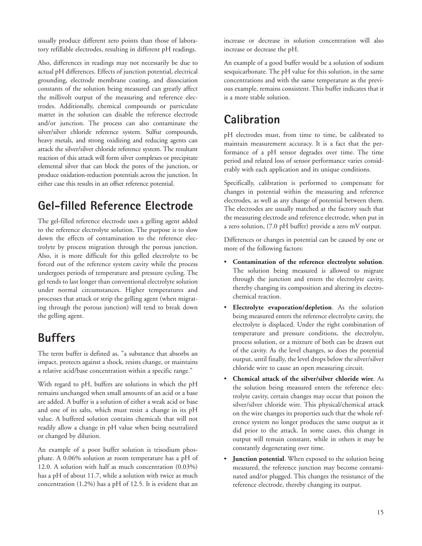usually produce different zero points than those of laboratory refillable electrodes, resulting in different pH readings.

Also, differences in readings may not necessarily be due to actual pH differences. Effects of junction potential, electrical grounding, electrode membrane coating, and dissociation constants of the solution being measured can greatly affect the millivolt output of the measuring and reference electrodes. Additionally, chemical compounds or particulate matter in the solution can disable the reference electrode and/or junction. The process can also contaminate the silver/silver chloride reference system. Sulfur compounds, heavy metals, and strong oxidizing and reducing agents can attack the silver/silver chloride reference system. The resultant reaction of this attack will form silver complexes or precipitate elemental silver that can block the pores of the junction, or produce oxidation-reduction potentials across the junction. In either case this results in an offset reference potential.

#### **Gel-filled Reference Electrode**

The gel-filled reference electrode uses a gelling agent added to the reference electrolyte solution. The purpose is to slow down the effects of contamination to the reference electrolyte by process migration through the porous junction. Also, it is more difficult for this gelled electrolyte to be forced out of the reference system cavity while the process undergoes periods of temperature and pressure cycling. The gel tends to last longer than conventional electrolyte solution under normal circumstances. Higher temperatures and processes that attack or strip the gelling agent (when migrating through the porous junction) will tend to break down the gelling agent.

#### **Buffers**

The term buffer is defined as, "a substance that absorbs an impact, protects against a shock, resists change, or maintains a relative acid/base concentration within a specific range."

With regard to pH, buffers are solutions in which the pH remains unchanged when small amounts of an acid or a base are added. A buffer is a solution of either a weak acid or base and one of its salts, which must resist a change in its pH value. A buffered solution contains chemicals that will not readily allow a change in pH value when being neutralized or changed by dilution.

An example of a poor buffer solution is trisodium phosphate. A 0.06% solution at room temperature has a pH of 12.0. A solution with half as much concentration (0.03%) has a pH of about 11.7, while a solution with twice as much concentration (1.2%) has a pH of 12.5. It is evident that an

increase or decrease in solution concentration will also increase or decrease the pH.

An example of a good buffer would be a solution of sodium sesquicarbonate. The pH value for this solution, in the same concentrations and with the same temperature as the previous example, remains consistent. This buffer indicates that it is a more stable solution.

### **Calibration**

pH electrodes must, from time to time, be calibrated to maintain measurement accuracy. It is a fact that the performance of a pH sensor degrades over time. The time period and related loss of sensor performance varies considerably with each application and its unique conditions.

Specifically, calibration is performed to compensate for changes in potential within the measuring and reference electrodes, as well as any change of potential between them. The electrodes are usually matched at the factory such that the measuring electrode and reference electrode, when put in a zero solution, (7.0 pH buffer) provide a zero mV output.

Differences or changes in potential can be caused by one or more of the following factors:

- **Contamination of the reference electrolyte solution**. The solution being measured is allowed to migrate through the junction and enters the electrolyte cavity, thereby changing its composition and altering its electrochemical reaction.
- **Electrolyte evaporation/depletion**. As the solution being measured enters the reference electrolyte cavity, the electrolyte is displaced. Under the right combination of temperature and pressure conditions, the electrolyte, process solution, or a mixture of both can be drawn out of the cavity. As the level changes, so does the potential output, until finally, the level drops below the silver/silver chloride wire to cause an open measuring circuit.
- **Chemical attack of the silver/silver chloride wire**. As the solution being measured enters the reference electrolyte cavity, certain changes may occur that poison the silver/silver chloride wire. This physical/chemical attack on the wire changes its properties such that the whole reference system no longer produces the same output as it did prior to the attack. In some cases, this change in output will remain constant, while in others it may be constantly degenerating over time.
- **Junction potential**. When exposed to the solution being measured, the reference junction may become contaminated and/or plugged. This changes the resistance of the reference electrode, thereby changing its output.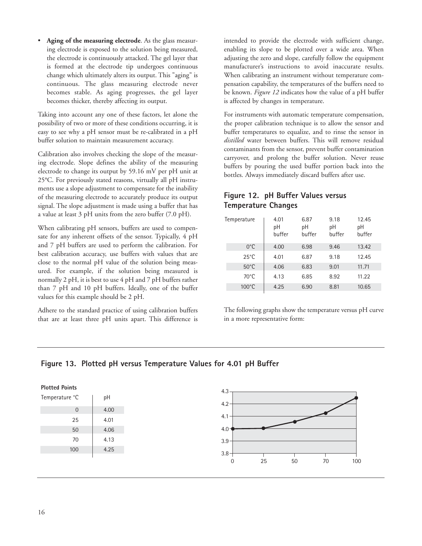• **Aging of the measuring electrode**. As the glass measuring electrode is exposed to the solution being measured, the electrode is continuously attacked. The gel layer that is formed at the electrode tip undergoes continuous change which ultimately alters its output. This "aging" is continuous. The glass measuring electrode never becomes stable. As aging progresses, the gel layer becomes thicker, thereby affecting its output.

Taking into account any one of these factors, let alone the possibility of two or more of these conditions occurring, it is easy to see why a pH sensor must be re-calibrated in a pH buffer solution to maintain measurement accuracy.

Calibration also involves checking the slope of the measuring electrode. Slope defines the ability of the measuring electrode to change its output by 59.16 mV per pH unit at 25°C. For previously stated reasons, virtually all pH instruments use a slope adjustment to compensate for the inability of the measuring electrode to accurately produce its output signal. The slope adjustment is made using a buffer that has a value at least 3 pH units from the zero buffer (7.0 pH).

When calibrating pH sensors, buffers are used to compensate for any inherent offsets of the sensor. Typically, 4 pH and 7 pH buffers are used to perform the calibration. For best calibration accuracy, use buffers with values that are close to the normal pH value of the solution being measured. For example, if the solution being measured is normally 2 pH, it is best to use 4 pH and 7 pH buffers rather than 7 pH and 10 pH buffers. Ideally, one of the buffer values for this example should be 2 pH.

Adhere to the standard practice of using calibration buffers that are at least three pH units apart. This difference is intended to provide the electrode with sufficient change, enabling its slope to be plotted over a wide area. When adjusting the zero and slope, carefully follow the equipment manufacturer's instructions to avoid inaccurate results. When calibrating an instrument without temperature compensation capability, the temperatures of the buffers need to be known. *Figure 12* indicates how the value of a pH buffer is affected by changes in temperature.

For instruments with automatic temperature compensation, the proper calibration technique is to allow the sensor and buffer temperatures to equalize, and to rinse the sensor in *distilled* water between buffers. This will remove residual contaminants from the sensor, prevent buffer contamination carryover, and prolong the buffer solution. Never reuse buffers by pouring the used buffer portion back into the bottles. Always immediately discard buffers after use.

#### **Figure 12. pH Buffer Values versus Temperature Changes**

| Temperature     | 4.01<br>pH<br>buffer | 6.87<br>рH<br>buffer | 9.18<br>pH<br>buffer | 12.45<br>pH<br>buffer |
|-----------------|----------------------|----------------------|----------------------|-----------------------|
| $0^{\circ}$ C   | 4.00                 | 6.98                 | 9.46                 | 13.42                 |
| $25^{\circ}$ C  | 4.01                 | 6.87                 | 9.18                 | 12.45                 |
| $50^{\circ}$ C  | 4.06                 | 6.83                 | 9.01                 | 11.71                 |
| $70^{\circ}$ C  | 4.13                 | 6.85                 | 8.92                 | 11.22                 |
| $100^{\circ}$ C | 4.25                 | 6.90                 | 8.81                 | 10.65                 |

The following graphs show the temperature versus pH curve in a more representative form:

#### **Figure 13. Plotted pH versus Temperature Values for 4.01 pH Buffer**

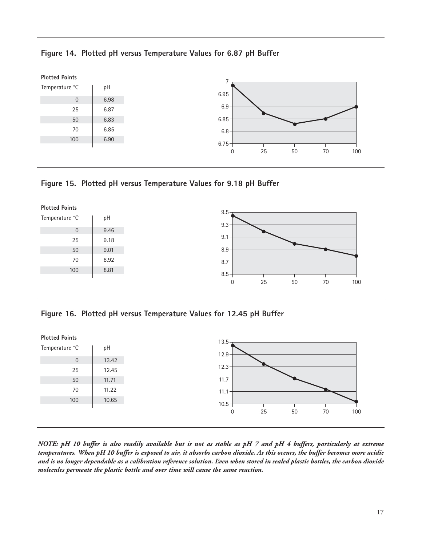|  |  |  | Figure 14. Plotted pH versus Temperature Values for 6.87 pH Buffer |  |  |
|--|--|--|--------------------------------------------------------------------|--|--|
|--|--|--|--------------------------------------------------------------------|--|--|



#### **Figure 15. Plotted pH versus Temperature Values for 9.18 pH Buffer**



#### **Figure 16. Plotted pH versus Temperature Values for 12.45 pH Buffer**



*NOTE: pH 10 buffer is also readily available but is not as stable as pH 7 and pH 4 buffers, particularly at extreme temperatures. When pH 10 buffer is exposed to air, it absorbs carbon dioxide. As this occurs, the buffer becomes more acidic and is no longer dependable as a calibration reference solution. Even when stored in sealed plastic bottles, the carbon dioxide molecules permeate the plastic bottle and over time will cause the same reaction.*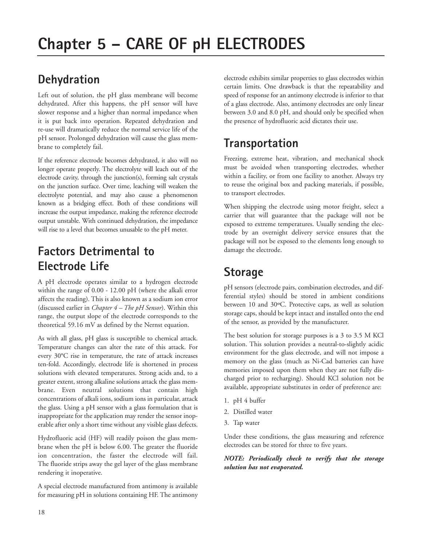### **Dehydration**

Left out of solution, the pH glass membrane will become dehydrated. After this happens, the pH sensor will have slower response and a higher than normal impedance when it is put back into operation. Repeated dehydration and re-use will dramatically reduce the normal service life of the pH sensor. Prolonged dehydration will cause the glass membrane to completely fail.

If the reference electrode becomes dehydrated, it also will no longer operate properly. The electrolyte will leach out of the electrode cavity, through the junction(s), forming salt crystals on the junction surface. Over time, leaching will weaken the electrolyte potential, and may also cause a phenomenon known as a bridging effect. Both of these conditions will increase the output impedance, making the reference electrode output unstable. With continued dehydration, the impedance will rise to a level that becomes unusable to the pH meter.

### **Factors Detrimental to Electrode Life**

A pH electrode operates similar to a hydrogen electrode within the range of 0.00 - 12.00 pH (where the alkali error affects the reading). This is also known as a sodium ion error (discussed earlier in *Chapter 4 – The pH Sensor*). Within this range, the output slope of the electrode corresponds to the theoretical 59.16 mV as defined by the Nernst equation.

As with all glass, pH glass is susceptible to chemical attack. Temperature changes can alter the rate of this attack. For every 30°C rise in temperature, the rate of attack increases ten-fold. Accordingly, electrode life is shortened in process solutions with elevated temperatures. Strong acids and, to a greater extent, strong alkaline solutions attack the glass membrane. Even neutral solutions that contain high concentrations of alkali ions, sodium ions in particular, attack the glass. Using a pH sensor with a glass formulation that is inappropriate for the application may render the sensor inoperable after only a short time without any visible glass defects.

Hydrofluoric acid (HF) will readily poison the glass membrane when the pH is below 6.00. The greater the fluoride ion concentration, the faster the electrode will fail. The fluoride strips away the gel layer of the glass membrane rendering it inoperative.

A special electrode manufactured from antimony is available for measuring pH in solutions containing HF. The antimony

electrode exhibits similar properties to glass electrodes within certain limits. One drawback is that the repeatability and speed of response for an antimony electrode is inferior to that of a glass electrode. Also, antimony electrodes are only linear between 3.0 and 8.0 pH, and should only be specified when the presence of hydrofluoric acid dictates their use.

### **Transportation**

Freezing, extreme heat, vibration, and mechanical shock must be avoided when transporting electrodes, whether within a facility, or from one facility to another. Always try to reuse the original box and packing materials, if possible, to transport electrodes.

When shipping the electrode using motor freight, select a carrier that will guarantee that the package will not be exposed to extreme temperatures. Usually sending the electrode by an overnight delivery service ensures that the package will not be exposed to the elements long enough to damage the electrode.

### **Storage**

pH sensors (electrode pairs, combination electrodes, and differential styles) should be stored in ambient conditions between 10 and 30ºC. Protective caps, as well as solution storage caps, should be kept intact and installed onto the end of the sensor, as provided by the manufacturer.

The best solution for storage purposes is a 3 to 3.5 M KCl solution. This solution provides a neutral-to-slightly acidic environment for the glass electrode, and will not impose a memory on the glass (much as Ni-Cad batteries can have memories imposed upon them when they are not fully discharged prior to recharging). Should KCl solution not be available, appropriate substitutes in order of preference are:

- 1. pH 4 buffer
- 2. Distilled water
- 3. Tap water

Under these conditions, the glass measuring and reference electrodes can be stored for three to five years.

#### *NOTE: Periodically check to verify that the storage solution has not evaporated.*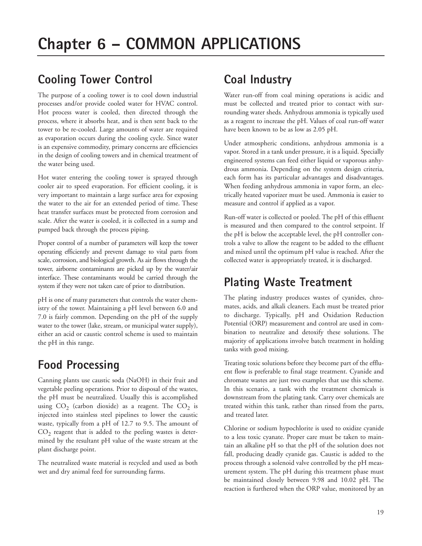### **Cooling Tower Control**

The purpose of a cooling tower is to cool down industrial processes and/or provide cooled water for HVAC control. Hot process water is cooled, then directed through the process, where it absorbs heat, and is then sent back to the tower to be re-cooled. Large amounts of water are required as evaporation occurs during the cooling cycle. Since water is an expensive commodity, primary concerns are efficiencies in the design of cooling towers and in chemical treatment of the water being used.

Hot water entering the cooling tower is sprayed through cooler air to speed evaporation. For efficient cooling, it is very important to maintain a large surface area for exposing the water to the air for an extended period of time. These heat transfer surfaces must be protected from corrosion and scale. After the water is cooled, it is collected in a sump and pumped back through the process piping.

Proper control of a number of parameters will keep the tower operating efficiently and prevent damage to vital parts from scale, corrosion, and biological growth. As air flows through the tower, airborne contaminants are picked up by the water/air interface. These contaminants would be carried through the system if they were not taken care of prior to distribution.

pH is one of many parameters that controls the water chemistry of the tower. Maintaining a pH level between 6.0 and 7.0 is fairly common. Depending on the pH of the supply water to the tower (lake, stream, or municipal water supply), either an acid or caustic control scheme is used to maintain the pH in this range.

### **Food Processing**

Canning plants use caustic soda (NaOH) in their fruit and vegetable peeling operations. Prior to disposal of the wastes, the pH must be neutralized. Usually this is accomplished using  $CO<sub>2</sub>$  (carbon dioxide) as a reagent. The  $CO<sub>2</sub>$  is injected into stainless steel pipelines to lower the caustic waste, typically from a pH of 12.7 to 9.5. The amount of  $CO<sub>2</sub>$  reagent that is added to the peeling wastes is determined by the resultant pH value of the waste stream at the plant discharge point.

The neutralized waste material is recycled and used as both wet and dry animal feed for surrounding farms.

### **Coal Industry**

Water run-off from coal mining operations is acidic and must be collected and treated prior to contact with surrounding water sheds. Anhydrous ammonia is typically used as a reagent to increase the pH. Values of coal run-off water have been known to be as low as 2.05 pH.

Under atmospheric conditions, anhydrous ammonia is a vapor. Stored in a tank under pressure, it is a liquid. Specially engineered systems can feed either liquid or vaporous anhydrous ammonia. Depending on the system design criteria, each form has its particular advantages and disadvantages. When feeding anhydrous ammonia in vapor form, an electrically heated vaporizer must be used. Ammonia is easier to measure and control if applied as a vapor.

Run-off water is collected or pooled. The pH of this effluent is measured and then compared to the control setpoint. If the pH is below the acceptable level, the pH controller controls a valve to allow the reagent to be added to the effluent and mixed until the optimum pH value is reached. After the collected water is appropriately treated, it is discharged.

### **Plating Waste Treatment**

The plating industry produces wastes of cyanides, chromates, acids, and alkali cleaners. Each must be treated prior to discharge. Typically, pH and Oxidation Reduction Potential (ORP) measurement and control are used in combination to neutralize and detoxify these solutions. The majority of applications involve batch treatment in holding tanks with good mixing.

Treating toxic solutions before they become part of the effluent flow is preferable to final stage treatment. Cyanide and chromate wastes are just two examples that use this scheme. In this scenario, a tank with the treatment chemicals is downstream from the plating tank. Carry over chemicals are treated within this tank, rather than rinsed from the parts, and treated later.

Chlorine or sodium hypochlorite is used to oxidize cyanide to a less toxic cyanate. Proper care must be taken to maintain an alkaline pH so that the pH of the solution does not fall, producing deadly cyanide gas. Caustic is added to the process through a solenoid valve controlled by the pH measurement system. The pH during this treatment phase must be maintained closely between 9.98 and 10.02 pH. The reaction is furthered when the ORP value, monitored by an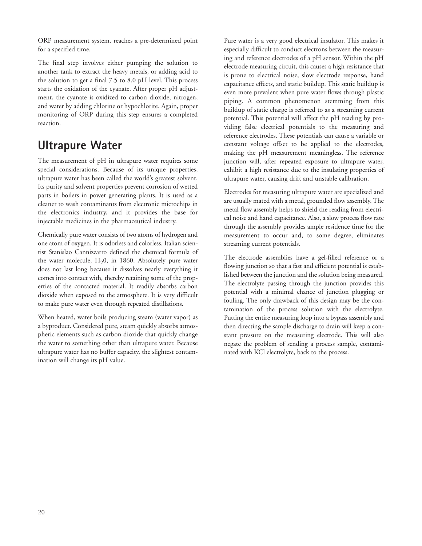ORP measurement system, reaches a pre-determined point for a specified time.

The final step involves either pumping the solution to another tank to extract the heavy metals, or adding acid to the solution to get a final 7.5 to 8.0 pH level. This process starts the oxidation of the cyanate. After proper pH adjustment, the cyanate is oxidized to carbon dioxide, nitrogen, and water by adding chlorine or hypochlorite. Again, proper monitoring of ORP during this step ensures a completed reaction.

### **Ultrapure Water**

The measurement of pH in ultrapure water requires some special considerations. Because of its unique properties, ultrapure water has been called the world's greatest solvent. Its purity and solvent properties prevent corrosion of wetted parts in boilers in power generating plants. It is used as a cleaner to wash contaminants from electronic microchips in the electronics industry, and it provides the base for injectable medicines in the pharmaceutical industry.

Chemically pure water consists of two atoms of hydrogen and one atom of oxygen. It is odorless and colorless. Italian scientist Stanislao Cannizzarro defined the chemical formula of the water molecule,  $H_2$ 0, in 1860. Absolutely pure water does not last long because it dissolves nearly everything it comes into contact with, thereby retaining some of the properties of the contacted material. It readily absorbs carbon dioxide when exposed to the atmosphere. It is very difficult to make pure water even through repeated distillations.

When heated, water boils producing steam (water vapor) as a byproduct. Considered pure, steam quickly absorbs atmospheric elements such as carbon dioxide that quickly change the water to something other than ultrapure water. Because ultrapure water has no buffer capacity, the slightest contamination will change its pH value.

Pure water is a very good electrical insulator. This makes it especially difficult to conduct electrons between the measuring and reference electrodes of a pH sensor. Within the pH electrode measuring circuit, this causes a high resistance that is prone to electrical noise, slow electrode response, hand capacitance effects, and static buildup. This static buildup is even more prevalent when pure water flows through plastic piping. A common phenomenon stemming from this buildup of static charge is referred to as a streaming current potential. This potential will affect the pH reading by providing false electrical potentials to the measuring and reference electrodes. These potentials can cause a variable or constant voltage offset to be applied to the electrodes, making the pH measurement meaningless. The reference junction will, after repeated exposure to ultrapure water, exhibit a high resistance due to the insulating properties of ultrapure water, causing drift and unstable calibration.

Electrodes for measuring ultrapure water are specialized and are usually mated with a metal, grounded flow assembly. The metal flow assembly helps to shield the reading from electrical noise and hand capacitance. Also, a slow process flow rate through the assembly provides ample residence time for the measurement to occur and, to some degree, eliminates streaming current potentials.

The electrode assemblies have a gel-filled reference or a flowing junction so that a fast and efficient potential is established between the junction and the solution being measured. The electrolyte passing through the junction provides this potential with a minimal chance of junction plugging or fouling. The only drawback of this design may be the contamination of the process solution with the electrolyte. Putting the entire measuring loop into a bypass assembly and then directing the sample discharge to drain will keep a constant pressure on the measuring electrode. This will also negate the problem of sending a process sample, contaminated with KCl electrolyte, back to the process.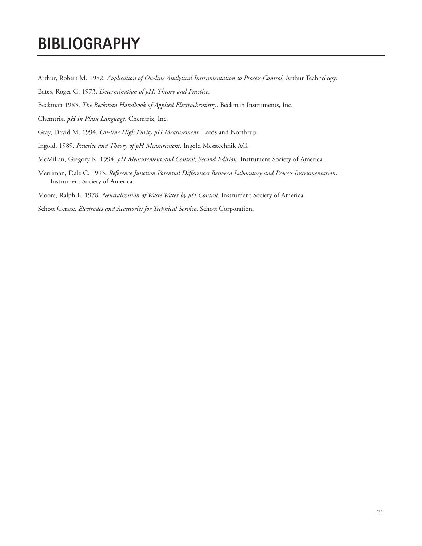## **BIBLIOGRAPHY**

- Arthur, Robert M. 1982. *Application of On-line Analytical Instrumentation to Process Control*. Arthur Technology.
- Bates, Roger G. 1973. *Determination of pH, Theory and Practice*.
- Beckman 1983. *The Beckman Handbook of Applied Electrochemistry*. Beckman Instruments, Inc.
- Chemtrix. *pH in Plain Language*. Chemtrix, Inc.
- Gray, David M. 1994. *On-line High Purity pH Measurement*. Leeds and Northrup.
- Ingold, 1989. *Practice and Theory of pH Measurement*. Ingold Messtechnik AG.
- McMillan, Gregory K. 1994. *pH Measurement and Control; Second Edition*. Instrument Society of America.
- Merriman, Dale C. 1993. *Reference Junction Potential Differences Between Laboratory and Process Instrumentation*. Instrument Society of America.
- Moore, Ralph L. 1978. *Neutralization of Waste Water by pH Control*. Instrument Society of America.
- Schott Gerate. *Electrodes and Accessories for Technical Service*. Schott Corporation.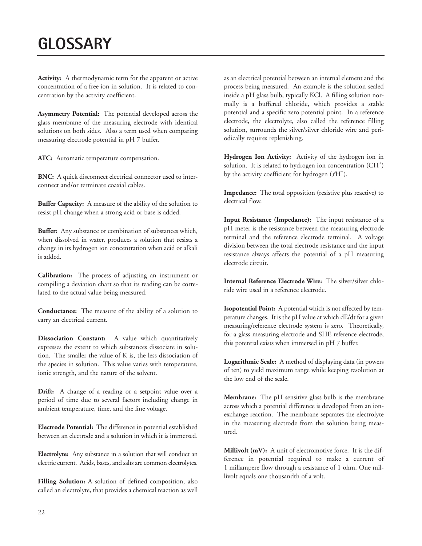**Activity:** A thermodynamic term for the apparent or active concentration of a free ion in solution. It is related to concentration by the activity coefficient.

**Asymmetry Potential:** The potential developed across the glass membrane of the measuring electrode with identical solutions on both sides. Also a term used when comparing measuring electrode potential in pH 7 buffer.

**ATC:** Automatic temperature compensation.

**BNC:** A quick disconnect electrical connector used to interconnect and/or terminate coaxial cables.

**Buffer Capacity:** A measure of the ability of the solution to resist pH change when a strong acid or base is added.

**Buffer:** Any substance or combination of substances which, when dissolved in water, produces a solution that resists a change in its hydrogen ion concentration when acid or alkali is added.

**Calibration:** The process of adjusting an instrument or compiling a deviation chart so that its reading can be correlated to the actual value being measured.

**Conductance:** The measure of the ability of a solution to carry an electrical current.

**Dissociation Constant:** A value which quantitatively expresses the extent to which substances dissociate in solution. The smaller the value of K is, the less dissociation of the species in solution. This value varies with temperature, ionic strength, and the nature of the solvent.

**Drift:** A change of a reading or a setpoint value over a period of time due to several factors including change in ambient temperature, time, and the line voltage.

**Electrode Potential:** The difference in potential established between an electrode and a solution in which it is immersed.

**Electrolyte:** Any substance in a solution that will conduct an electric current. Acids, bases, and salts are common electrolytes.

**Filling Solution:** A solution of defined composition, also called an electrolyte, that provides a chemical reaction as well as an electrical potential between an internal element and the process being measured. An example is the solution sealed inside a pH glass bulb, typically KCl. A filling solution normally is a buffered chloride, which provides a stable potential and a specific zero potential point. In a reference electrode, the electrolyte, also called the reference filling solution, surrounds the silver/silver chloride wire and periodically requires replenishing.

**Hydrogen Ion Activity:** Activity of the hydrogen ion in solution. It is related to hydrogen ion concentration (CH<sup>+</sup>) by the activity coefficient for hydrogen ( $fH$ <sup>+</sup>).

**Impedance:** The total opposition (resistive plus reactive) to electrical flow.

**Input Resistance (Impedance):** The input resistance of a pH meter is the resistance between the measuring electrode terminal and the reference electrode terminal. A voltage division between the total electrode resistance and the input resistance always affects the potential of a pH measuring electrode circuit.

**Internal Reference Electrode Wire:** The silver/silver chloride wire used in a reference electrode.

**Isopotential Point:** A potential which is not affected by temperature changes. It is the pH value at which dE/dt for a given measuring/reference electrode system is zero. Theoretically, for a glass measuring electrode and SHE reference electrode, this potential exists when immersed in pH 7 buffer.

**Logarithmic Scale:** A method of displaying data (in powers of ten) to yield maximum range while keeping resolution at the low end of the scale.

**Membrane:** The pH sensitive glass bulb is the membrane across which a potential difference is developed from an ionexchange reaction. The membrane separates the electrolyte in the measuring electrode from the solution being measured.

**Millivolt (mV):** A unit of electromotive force. It is the difference in potential required to make a current of 1 millampere flow through a resistance of 1 ohm. One millivolt equals one thousandth of a volt.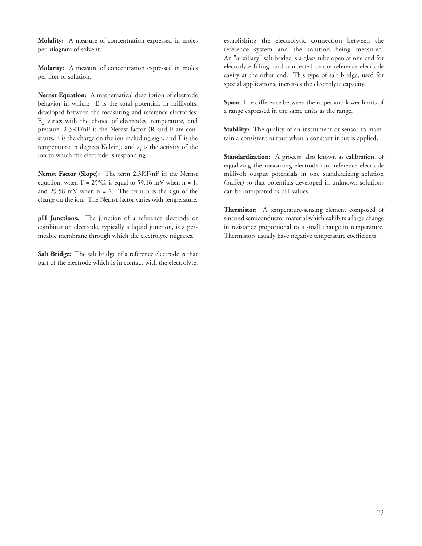**Molality:** A measure of concentration expressed in moles per kilogram of solvent.

**Molarity:** A measure of concentration expressed in moles per liter of solution.

**Nernst Equation:** A mathematical description of electrode behavior in which: E is the total potential, in millivolts, developed between the measuring and reference electrodes;  $E_x$  varies with the choice of electrodes, temperature, and pressure; 2.3RT/nF is the Nernst factor (R and F are constants, n is the charge on the ion including sign, and T is the temperature in degrees Kelvin); and  $a_i$  is the activity of the ion to which the electrode is responding.

**Nernst Factor (Slope):** The term 2.3RT/nF in the Nernst equation, when  $T = 25^{\circ}\text{C}$ , is equal to 59.16 mV when  $n = 1$ , and 29.58 mV when  $n = 2$ . The term n is the sign of the charge on the ion. The Nernst factor varies with temperature.

**pH Junctions:** The junction of a reference electrode or combination electrode, typically a liquid junction, is a permeable membrane through which the electrolyte migrates.

**Salt Bridge:** The salt bridge of a reference electrode is that part of the electrode which is in contact with the electrolyte,

establishing the electrolytic connection between the reference system and the solution being measured. An "auxiliary" salt bridge is a glass tube open at one end for electrolyte filling, and connected to the reference electrode cavity at the other end. This type of salt bridge, used for special applications, increases the electrolyte capacity.

**Span:** The difference between the upper and lower limits of a range expressed in the same units as the range.

**Stability:** The quality of an instrument or sensor to maintain a consistent output when a constant input is applied.

**Standardization:** A process, also known as calibration, of equalizing the measuring electrode and reference electrode millivolt output potentials in one standardizing solution (buffer) so that potentials developed in unknown solutions can be interpreted as pH values.

**Thermistor:** A temperature-sensing element composed of sintered semiconductor material which exhibits a large change in resistance proportional to a small change in temperature. Thermistors usually have negative temperature coefficients.